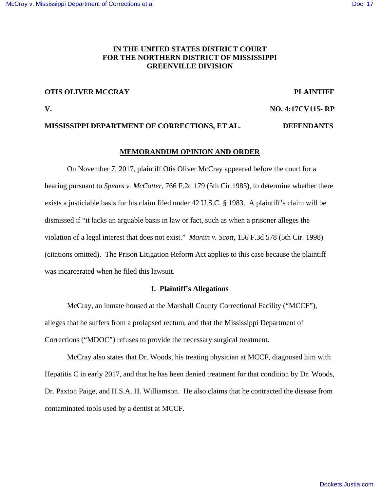# **IN THE UNITED STATES DISTRICT COURT FOR THE NORTHERN DISTRICT OF MISSISSIPPI GREENVILLE DIVISION**

# **OTIS OLIVER MCCRAY PLAINTIFF**

**V. NO. 4:17CV115- RP** 

## **MISSISSIPPI DEPARTMENT OF CORRECTIONS, ET AL. DEFENDANTS**

### **MEMORANDUM OPINION AND ORDER**

On November 7, 2017, plaintiff Otis Oliver McCray appeared before the court for a hearing pursuant to *Spears v. McCotter*, 766 F.2d 179 (5th Cir.1985), to determine whether there exists a justiciable basis for his claim filed under 42 U.S.C. § 1983. A plaintiff's claim will be dismissed if "it lacks an arguable basis in law or fact, such as when a prisoner alleges the violation of a legal interest that does not exist." *Martin v. Scott*, 156 F.3d 578 (5th Cir. 1998) (citations omitted). The Prison Litigation Reform Act applies to this case because the plaintiff was incarcerated when he filed this lawsuit.

#### **I. Plaintiff's Allegations**

 McCray, an inmate housed at the Marshall County Correctional Facility ("MCCF"), alleges that he suffers from a prolapsed rectum, and that the Mississippi Department of Corrections ("MDOC") refuses to provide the necessary surgical treatment.

 McCray also states that Dr. Woods, his treating physician at MCCF, diagnosed him with Hepatitis C in early 2017, and that he has been denied treatment for that condition by Dr. Woods, Dr. Paxton Paige, and H.S.A. H. Williamson. He also claims that he contracted the disease from contaminated tools used by a dentist at MCCF.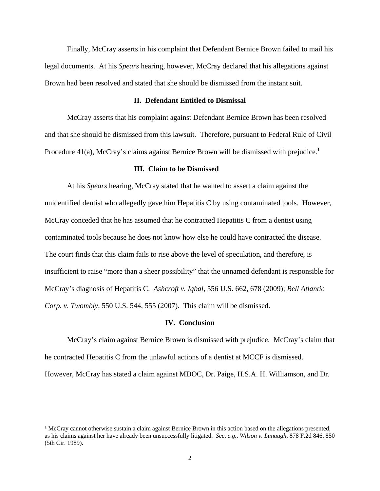Finally, McCray asserts in his complaint that Defendant Bernice Brown failed to mail his legal documents. At his *Spears* hearing, however, McCray declared that his allegations against Brown had been resolved and stated that she should be dismissed from the instant suit.

### **II. Defendant Entitled to Dismissal**

McCray asserts that his complaint against Defendant Bernice Brown has been resolved and that she should be dismissed from this lawsuit. Therefore, pursuant to Federal Rule of Civil Procedure  $41(a)$ , McCray's claims against Bernice Brown will be dismissed with prejudice.<sup>1</sup>

#### **III. Claim to be Dismissed**

 At his *Spears* hearing, McCray stated that he wanted to assert a claim against the unidentified dentist who allegedly gave him Hepatitis C by using contaminated tools. However, McCray conceded that he has assumed that he contracted Hepatitis C from a dentist using contaminated tools because he does not know how else he could have contracted the disease. The court finds that this claim fails to rise above the level of speculation, and therefore, is insufficient to raise "more than a sheer possibility" that the unnamed defendant is responsible for McCray's diagnosis of Hepatitis C. *Ashcroft v. Iqbal*, 556 U.S. 662, 678 (2009); *Bell Atlantic Corp. v. Twombly*, 550 U.S. 544, 555 (2007). This claim will be dismissed.

### **IV. Conclusion**

 McCray's claim against Bernice Brown is dismissed with prejudice. McCray's claim that he contracted Hepatitis C from the unlawful actions of a dentist at MCCF is dismissed. However, McCray has stated a claim against MDOC, Dr. Paige, H.S.A. H. Williamson, and Dr.

1

<sup>&</sup>lt;sup>1</sup> McCray cannot otherwise sustain a claim against Bernice Brown in this action based on the allegations presented, as his claims against her have already been unsuccessfully litigated. *See, e.g., Wilson v. Lunaugh*, 878 F.2d 846, 850 (5th Cir. 1989).